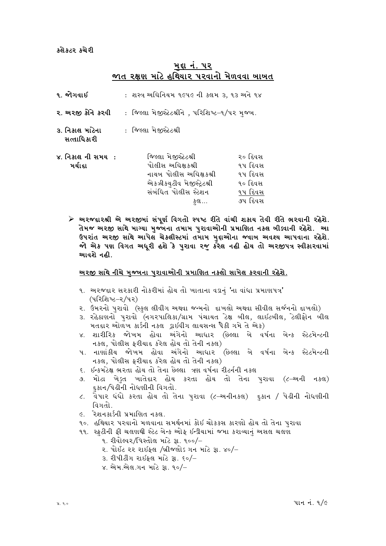#### કલેકટર કચેરી

#### મદ્દા નં. ૫૨ જાત રક્ષણ માટે હથિયાર પરવાનો મેળવવા બાબત

| ૧. જોગવાઈ                      | : શસ્ત્ર અઘિનિયમ ૧૯૫૯ ની કલમ ૩, ૧૩ અને ૧૪                                                                                        |                                                                |  |
|--------------------------------|----------------------------------------------------------------------------------------------------------------------------------|----------------------------------------------------------------|--|
| ર. અરજી કોને કરવી              | : જિલ્લા મેજીસ્ટેટશ્રીને , પરિશિષ્ટ–૧/૫૨ મુજ્ય.                                                                                  |                                                                |  |
| ૩. નિકાલ માટેના<br>સત્તાધિકારી | : જિલ્લા મેજીસ્ટેટશ્રી                                                                                                           |                                                                |  |
| ૪. નિકાલ ની સમય :<br>મર્ચાદા   | જિલ્લા મેજીસ્ટેટશ્રી<br>પોલીસ અઘિક્ષકશ્રી<br>નાયબ પોલીસ અઘિક્ષકશ્રી<br>એકઝીકયુટીવ મેજીસ્ટ્રેટશ્રી<br>સંબંધિત પોલીસ સ્ટેશન<br>કલ… | ૨૦ દિવસ<br>૧૫ દિવસ<br>૧૫ દિવસ<br>૧૦ દિવસ<br>૧૫ દિવસ<br>૭૫ દિવસ |  |

≻ અરજદારશ્રી એ અરજીમાં સંપૂર્ણ વિગતો સ્પષ્ટ રીતે વાંચી શકાય તેવી રીતે ભરવાની રહેશે. તેમજ અરજી સાથે માગ્યા મુજ્યના તમામ પુરાવાઓની પ્રમાણિત નકલ બીડ્વાની રહેશે. આ ઉપરાંત અરજી સાથે આપેલ ચેકલીસ્ટમાં તમામ મુદ્દાઓના જવાબ અવશ્ય આપવાના રહેશે. જો એક પણ વિગત અધુરી હશે કે પુરાવા રજૂ કરેલ નહી હોય તો અરજીપત્ર સ્વીકારવામાં આવશે નહી.

#### <u>અરજી સાથે નીચે મજ્યના પુરાવાઓની પ્રમાણિત નકલો સામેલ કરવાની રહેશે.</u>

- ૧. અરજદાર સરકારી નોકરીમાં હોય તો ખાતાના વડાનં 'ના વાંધા પ્રમાણપત્ર' (પરિશિષ્ટ–ર/પર)
- ૨. ઉમરનો પુરાવો (સ્કુલ લીવીંગ અથવા જન્મનો દાખલો અથવા સીવીલ સર્જનનો દાખલો)
- ૩. રહેઠાણનો પરાવો (નગરપાલિકા/ગ્રામ પંચાયત ટેક્ષ બીલ, લાઇટબીલ, ટેલીફોન બીલ મતદાર ઓળખ કાર્ડની નકલ ડ્રાઇવીંગ લાયસન્સ પૈકી ગમે તે એક)
- ૪. શારીરિક જોખમ હોવા અંગેનો આધાર (છેલ્લા બે વર્ષના બેન્ક સ્ટેટમેન્ટની નકલ, પોલીસ ફરીયાદ કરેલ હોય તો તેની નકલ)
- ૫. નાણાંકીય જોખમ હોવા અંગેનો આધાર (છેલ્લા બે વર્ષના બેન્ક સ્ટેટમેન્ટની નકલ, પોલીસ ફરીયાદ કરેલ હોય તો તેની નકલ)
- ૬. ઇન્કમટેક્ષ ભરતા હોય તો તેના છેલ્લા ત્રણ વર્ષના રીટર્નની નકલ
- ૭. મોટા ખેડુત ખાતેદાર હોય કરતા હોય તો તેના પુરાવા (૮–અની નકલ) દકાન પિઢીની નોધણીની વિગતો.
- ૮. વેપાર ધંધો કરતા હોય તો તેના પુરાવા (૮–અનીનકલ) દુકાન / પેઢીની નોધણીની વિગતો.
- ૯. રેશનકાર્ડની પ્રમાણિત નકલ.
- ૧૦. હથિયાર પરવાનો મળવાના સમર્થનમાં કોઇ ચોકકસ કારણો હોય તો તેના પરાવા
- ૧૧. સ્ક્રટીની ફી ચલણથી સ્ટેટ બેન્ક ઓફ ઇન્ડીયામાં જમા કરાવ્યાનં અસલ ચલણ
	- ૧. રીવોલ્વર/પિસ્તોલ માટે રૂા. ૧૦૦/–
	- ૨. પોઈંટ ૨૨ રાઈફલ /બ્રીજલોડ ગન માટે રૂા. ૪૦/–
	- 3. રીપીટીંગ રાઇફલ માટે રૂા. ૬૦/-
	- ૪. એમ.એલ.ગન માટે રૂા. ૧૦/-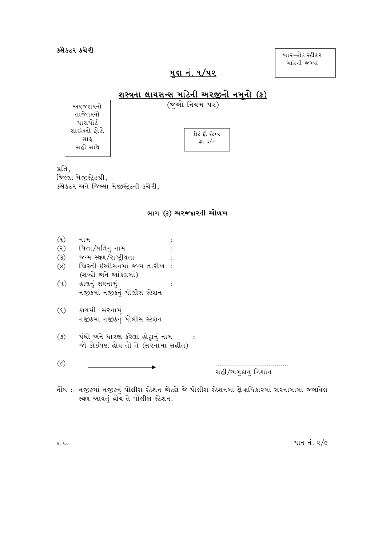કલેક્ટર કચેરી

બાર−કોઽ સ્ટીકર માટેની જગ્યા

## <u>મુદ્દા નં. ૧/૫૨</u>

## $(x - \alpha)$  નિયમ પર)

અરજદારનો તાજેતરનો પાસપોર્ટ સાઇઝનો ફોટો ગ્રાફ સહી સાથે

| કોર્ટ કી સ્ટેમ્પ |  |
|------------------|--|
|                  |  |
| 31.3/            |  |
|                  |  |

પ્રતિ. જિલ્લા મેજીસ્ટ્રેટશ્રી, કલેકટર અને જિલ્લા મેજીસ્ટ્રેટની કચેરી,

#### ભાગ (ક) અરજદારની ઓળખ

- $(9)$ નામ પિતા/પતિનું નામ  $(5)$  $\cdot$  $\ddot{\cdot}$
- જન્મ સ્થળ/રાષ્ટ્રીયતા  $\mathcal{E}(\mathcal{E})$ ખ્રિસ્તી ઇસ્વીસનમાં જન્મ તારીખ:  $(\mathcal{S})$
- (શબ્દો અને આંકડામાં)
- $(\mathfrak{y})$ હાલનું સરનામું  $\ddot{\cdot}$ નજીકમાં નજીકનું પોલીસ સ્ટેશન
- કાયમી સરનામું  $(\xi)$ નજીકમાં નજીકનું પોલીસ સ્ટેશન
- ઘંધો અને ધારણ કરેલા હોદ્દાનું નામ ઃ  $(\theta)$ જો કોઈપણ હોય તો તે (સરનામા સહીત)
- $\mathcal{L}$ ÷

સહી/અંગુઠાનું નિશાન

નોંધ :– નજીકમાં નજીકનું પોલીસ સ્ટેશન એટલે જે પોલીસ સ્ટેશનમાં ક્ષેત્રાધિકારમાં સરનામામાં જણાવેલ સ્થળ આવતું હોય તે પોલીસ સ્ટેશન.

પાન નં. 2/૯

પ્ર. ૧.૦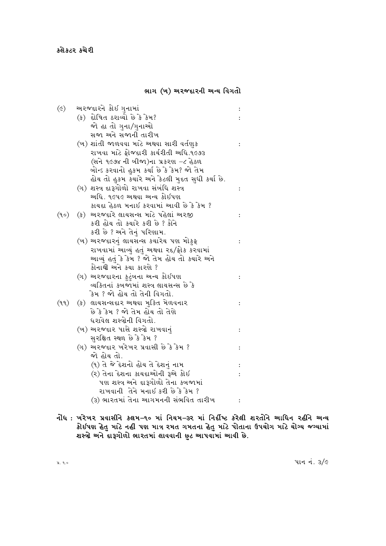#### ભાગ (ખ) અરજદારની અન્ય વિગતો

| $(\epsilon)$ | અરજદારને કોઈ ગુનામાં                                           |  |
|--------------|----------------------------------------------------------------|--|
|              | (ક) દોષિત ઠરાવ્યો છે કે કેમ?                                   |  |
|              | જો હા તો ગુના/ગુનાઓ                                            |  |
|              | સજા અને સજાની તારીખ                                            |  |
|              | (ખ) શાંતી જાળવવા માટે અથવા સારી વર્તણુક                        |  |
|              | રાખવા માટે ફોજદારી કાર્યરીતી અધિ.૧૯૭૩                          |  |
|              | (સને ૧૯૭૪ ની બીજા)ના પ્રકરણ −૮ હેઠળ                            |  |
|              | ખોન્ડ કરવાનો હુકમ કર્યા છે કે કેમ? જો તેમ                      |  |
|              | હોય તો હુકમ ક <mark>યારે અને કે</mark> ટલી મુદત સુધી કર્યા છે. |  |
|              | (ગ) શસ્ત્ર દારૂગોળો રાખવા સંબંધિ શસ્ત્ર                        |  |
|              | અધિ. ૧૯૫૯ અથવા અન્ય કોઇપણ                                      |  |
|              | કાચદા હેઠળ મનાઇ કરવામાં આવી છે કે કેમ ?                        |  |
| (90)         | (ક) અરજદારે લાયસન્સ માટે પહેલાં અરજી                           |  |
|              | કરી હોય તો કચારે કરી છે ? કોને                                 |  |
|              | કરી છે ? અને તેનું પરિણામ.                                     |  |
|              | (ખ) અરજદારનું લાયસન્સ કયારેય પણ મોકુફ                          |  |
|              | રાખવામાં આવ્યું હતું અથવા રદ/ફોક કરવામાં                       |  |
|              | આવ્યું હતું કે કેમ ? જો તેમ હોય તો કચારે અને                   |  |
|              | કોનાથી અને કચા કારણે ?                                         |  |
|              | (ગ) અરજદારના કુટુંબના અન્ય કોઇપણ                               |  |
|              | વ્યકિતનાં કબજામાં શસ્ત્ર લાયસન્સ છે કે                         |  |
|              | ંકેમ ? જો હોય તો તેની વિગતો.                                   |  |
| (99)         | (ક) લાયસન્સદાર અથવા મુક્તિ મેળવનાર                             |  |
|              | છે કે કેમ ? જો તેમ હોય તો તેણે                                 |  |
|              | ધરાવેલ શસ્ત્રોની વિગતો.                                        |  |
|              | (ખ) અરજદાર પાસે શસ્ત્રો રાખવાનું                               |  |
|              | સુરક્ષિત સ્થળ છે કે કેમ ?                                      |  |
|              | (ગ) અરજદાર ખરેખર પ્રવાસી છે કે કેમ ?                           |  |
|              | જો હોય તો.                                                     |  |
|              | (૧) તે જે દેશનો હોય તે દેશનું નામ                              |  |
|              | (ર) તેના દેશના કાયદાઓની રૂએ કોઇ                                |  |
|              | પણ શસ્ત્ર અને દારૂગોળો તેના કબજામાં                            |  |
|              | રાખવાની તેને મનાઇ કરી છે કે કેમ ?                              |  |
|              | (૩) ભારતમાં તેના આગમનની સંભવિત તારીખ                           |  |

નોંધ : ખરેખર પ્રવાસીને કલમ–૧૦ માં નિયમ–૩ર માં નિર્દીષ્ટ કરેલી શરતોને આધિન રહીને અન્ય<br>કોઇપણ હેતુ માટે નહી પણ માત્ર રમત ગમતના હેતુ માટે પોતાના ઉપયોગ માટે યોગ્ય જગ્યામાં<br>શસ્ત્રો અને દારૂગોળો ભારતમાં લાવવાની છુટ આપવામાં આવી છ

પાન નં. 3/૯

પ્ર. ૧.૦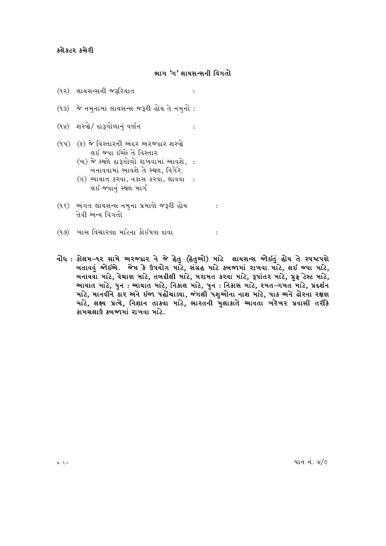#### ભાગ 'ગ' લાયસન્સની વિગતો

 $\cdot$ 

- (૧૨) લાયસન્સની જરૂરિયાત
- (૧૩) જે નમનામાં લાયસન્સ જરૂરી હોય તે નમનો :
- (૧૪) શસ્ત્રો/ દારૂગોળાનં વર્ણન  $\cdot$ :
- (૧૫) (ક) જે વિસ્તારની અંદર અરજદાર શસ્ત્રો લઈ જવા ઈચ્છે તે વિસ્તાર
	- (ખ) જે સ્થળે દારૂગોળો રાખવામાં આવશે. : બનાવવામાં આવશે તે સ્થળ, વિગેરે.
	- (ગ) આચાત કરવા, નકાસ કરવા, લાવવા : લઈ જવાનું સ્થળ માર્ગ
- (૧૬) અંગત લાયસન્સ નમુના પ્રમાણે જરૂરી હોય : તેવી અન્ય વિગતો
- (૧૭) ખાસ વિચારણા માટેના કોઈપણ દાવા
- નોંધ : કોલમ–૧૨ સામે અરજદા૨ ને જે હેતુ (હેતુઓ) માટે લાયસન્સ જોઇતું હોય તે સ્પષ્ટપણે ખતાવવું જોઈએ. જેમ કે ઉપયોગ માટે, સંગ્રહ માટે ક્ષ્યજામાં રાખવા માટે, લઈ જવા માટે, ખનાવવા માટે, વેચાણ માટે, તખદીલી માટે, મરામત કરવા માટે, રૂપાંતર માટે, પ્રુફ ટેસ્ટ માટે, આચાત માટે, પુન : આચાત માટે, નિકાલ માટે, પુન : નિકાસ માટે, રમત⊸ામત માટે, પ્રદર્શન માટે, માનવીને ઠાર અને ઇજા પહોંચાડવા, જંગલી પશુઓના નાશ માટે, પાક અને ઢોરના રક્ષણ માટે, લક્ષ્ય પ્રત્યે, નિશાન તાકવા માટે, ભારતની મલાકાતે આવતા ખરેખર પ્રવાસી તરીકે કામચલાઉ કબજામાં રાખવા માંટે.

 $\therefore$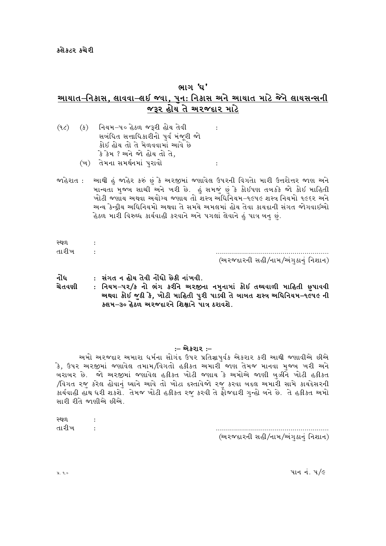## ભાગ 'ઘ' આયાત–નિકાસ, લાવવા–લઈ જ્વા, ૫ન: નિકાસ અને આચાત માટે જેને લાયસન્સની જરૂર હોય તે અરજદાર માટે

 $\cdot$ 

 $\cdot$ 

(ક) નિયમ–પ૦ હેઠળ જરૂરી હોય તેવી  $(9<sub>c</sub>)$ સબંધિત સત્તાધિકારીનો પર્વ મંજૂરી જો કોઈ હોય તો તે મેળવવામાં આવે છે કે કેમ ? અને જો હોય તો તે. (ખ) તેમના સમર્થનમાં પુરાવો

જાહેરાત : આથી હું જાહેર કરું છું કે અરજીમાં જણાવેલ ઉપરની વિગતાે મારી ઉત્તરોત્તર જાણ અને માન્યતા મુજબ સાચી અને ખરી છે. હું સમજું છું કે કોઇપણ તબકકે જો કોઇ માહિતી ખોટી જણાય અથવા અયોગ્ય જણાય તો શસ્ત્ર અધિનિયમ–૧૯૫૯ શસ્ત્ર નિયમો ૧૯૬૨ અને અન્ય કેન્દ્દીય અધિનિયમો અથવા તે સમયે અમલમાં હોય તેવા કાયદાની સંગત જોગવાઈઓ હેઠળ મારી વિરુઘ્ધ કાર્યવાહી કરવાને અને પગલાં લેવાને હું પાત્ર બનુ છું.

| સ્થળ  |                                    |
|-------|------------------------------------|
| તારીખ |                                    |
|       | (અરજદારની સહી/નામ/અંગુઠાનું નિશાન) |

| નોંધ   | : સંગત ન હોય તેવી નોંધો છેકી નાંખવી.                                      |
|--------|---------------------------------------------------------------------------|
| ચેતવણી | : નિયમ–પર/ક નો ભંગ કરીને અરજીના નમુનામાં કોઈ તથ્યવાળી માહિતી છુપાવવી      |
|        | ચ્યથવા કોઇ જુઠી કે, ખોટી માહિતી પુરી પાડવી તે બાબત શસ્ત્ર અધિનિયમ−૧૯૫૯ ની |
|        | કલમ–૩૦ હેઠળ અરજદારને શિક્ષાને પાત્ર ઠરાવશે.                               |

#### :– એકરાર :–

અમો અરજદાર અમારા ધર્મના સોગંદ ઉપર પ્રતિજ્ઞાપુર્વક એકરાર કરી આથી જણાવીએ છીએ કે, ઉપર અરજીમાં જણાવેલ તમામ/વિગતો હકીકત અમારી જાણ તેમજ માનવા મજબ ખરી અને ખરાખર છે. જો અરજીમાં જણાવેલ હકીકત ખોટી જણાય કે અમોએ જાણી બઝીને ખોટી હકીકત /વિગત રજુ કરેલ હોવાનું ઘ્યાને આવે તો ખોટા દસ્તાવેજો રજુ કરવા બદલ અમારી સામે કાયદેસરની કાર્યવાહી હાથ ધરી શકશે. તેમજ ખોટી હકીકત રજુ કરવી તે ફોજદારી ગુન્હો બને છે. તે હકીકત અમો સારી રીતે જાણીએ છીએ.

| સ્થળ  |                                    |
|-------|------------------------------------|
| તારીખ |                                    |
|       | (અરજદારની સહી/નામ/અંગુઠાનું નિશાન) |

પાન નં. ૫/૯

પ્ર. ૧.૦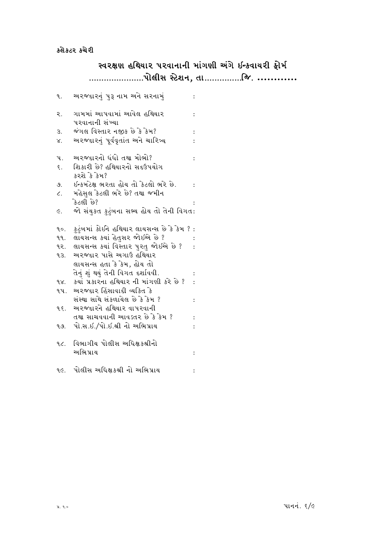# સ્વરક્ષણ હથિયાર પરવાનાની માંગણી અંગે ઇન્કવાયરી ફોર્મ

| ٩.                    | અરજદારનું પુરૂ નામ અને સરનામું                | $\ddot{\phantom{a}}$ |
|-----------------------|-----------------------------------------------|----------------------|
| ર.                    | ગામમાં આપવામાં આવેલ હથિયાર<br>પરવાનાની સંખ્યા | $\vdots$             |
| 3.                    | જંગલ વિસ્તાર નજીક છે કે કેમ?                  |                      |
| ४.                    | અરજદારનું પૂર્વવૃતાંત અને ચારિત્ર્ય           |                      |
| પ.                    | અરજદારનો ધંધો તથા મોભો?                       | $\vdots$             |
| $\xi$ .               | શિકારી છે? હથિયારનો સદઉપયોગ<br>કરશે કે કેમ?   |                      |
| 9.                    | ઇન્કમટેક્ષ ભરતા હોય તો કેટલો ભરે છે.          | $\ddot{\cdot}$       |
| $\mathcal{L}_{\star}$ | મહેસુલ કેટલી ભરે છે? તથા જમીન<br>કેટલી છે?    |                      |
| È.                    | જો સંચુકત ફુટુંબના સભ્ય હોચ તો તેની વિગત:     |                      |
| ৭০.                   | ફુટુંબમાં કોઈને હથિયાર લાયસન્સ છે કે કેમ ? :  |                      |
| ૧૧.                   | લાયસન્સ કયાં હેતુસર જોઇએ છે ?                 |                      |
|                       | ૧૨. લાયસન્સ કર્યા વિસ્તાર પુરતુ જોઈએ છે ?     |                      |
| <b>93.</b>            | અરજદાર પાસે અગાઉ હથિયાર                       |                      |
|                       | લાયસન્સ હતા કે કેમ, હોય તો                    |                      |
|                       | તેનું શું થયું તેની વિગત દર્શાવવી.            |                      |
| ૧૪.                   | કયાં પ્રકારના હથિયાર ની માંગણી કરે છે ?       |                      |
| ૧૫.                   | અરજદાર હિંસાવાદી વ્યકિત કે                    |                      |
|                       | સંસ્થા સાથે સંકળાયેલ છે કે કેમ ?              | $\ddot{\cdot}$       |
|                       | ૧૬. અરજદારને હથિયાર વાપરવાની                  |                      |
|                       | તથા સાચવવાની આવડતર છે કે કેમ ?                | $\vdots$             |
| ۹૭.                   | પો.સ.ઇ./પો.ઇ.શ્રી નો અભિપ્રાય                 |                      |
|                       | ૧૮. વિભાગીય પોલીસ અધિક્ષકશ્રીનો               |                      |
|                       | અભિપ્રાય                                      | $\ddot{\phantom{a}}$ |
|                       | ૧૯. પોલીસ અધિક્ષકશ્રી નો અભિપ્રાય             | $\vdots$             |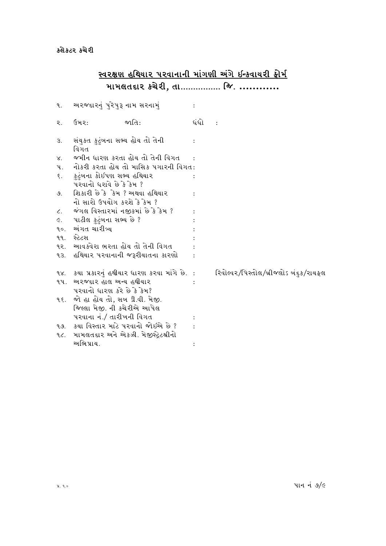# <u>સ્વરક્ષણ હથિયાર પરવાનાની માંગણી અંગે ઇન્કવાયરી ફોર્મ</u><br>મામલતદાર કચેરી, તા............... જિ. .............

| ٩.              | અરજદારનું પુરેપુરૂ નામ સરનામું            |                                                |      |                                        |
|-----------------|-------------------------------------------|------------------------------------------------|------|----------------------------------------|
| ૨.              | ઉમ૨:                                      | જાતિ:                                          | ધંધો |                                        |
| З.              | સંયુક્ત ફુટુંબના સભ્ય હોય તો તેની<br>વિગત |                                                |      |                                        |
| $X_{1}$         |                                           | જમીન ધારણ કરતા હોય તો તેની વિગત                |      |                                        |
| પ.              |                                           | નોકરી કરતા હોય તો માસિક પગારની વિગત:           |      |                                        |
| $\xi$ .         | કુટુંબના કોઈપણ સભ્ય હથિયાર                |                                                |      |                                        |
|                 | પરવાનો ધરાવે છે કે કેમ ?                  |                                                |      |                                        |
| 9.              | શિકારી છે કે કેમ ? અથવા હથિયાર            |                                                |      |                                        |
|                 | નો સારો ઉપયોગ કરશે કે કેમ ?               |                                                |      |                                        |
| $\mathcal{L}$ . | જંગલ વિસ્તારમાં નજીકમાં છે કે કેમ ?       |                                                |      |                                        |
| E.              | પાટીલ ફુટુંબના સભ્ય છે ?                  |                                                |      |                                        |
| 90.             | અંગત ચારીત્ર્ય                            |                                                |      |                                        |
| ۹۹.             | સ્ટેટસ                                    |                                                |      |                                        |
| ૧૨.             | આવક્વેરા ભરતા હોય તો તેની વિગત            |                                                |      |                                        |
| ૧૩.             |                                           | હથિયાર પરવાનાની જરૂરીયાતના કારણો               |      |                                        |
|                 |                                           | ૧૪. કયા પ્રકારનું હથીયાર ધારણ કરવા માંગે છે. : |      | રિવોલ્વ૨/પિસ્તોલ/બ્રીજલોઽ બંદુક/રાચફ્લ |
| ૧૫.             | અરજદાર હાલ અન્ય હથીયાર                    |                                                |      |                                        |
|                 | પરવાનો ધારણ કરે છે કે કેમ?                |                                                |      |                                        |
| 9.5.            | જો હા હોય તો, સખ ડી.વી. મેજી.             |                                                |      |                                        |
|                 | જિલ્લા મેજી. ની કચેરીએ આપેલ               |                                                |      |                                        |
|                 | પરવાના નં./ તારીખની વિગત                  |                                                |      |                                        |
| ૧૭.             |                                           | કયા વિસ્તાર માટે પરવાનો જોઈએ છે ?              |      |                                        |
| ۹૮.             |                                           | મામલતદાર અને એકઝી. મેજીસ્ટ્રેટશ્રીનો           |      |                                        |
|                 | અભિપ્રાય.                                 |                                                |      |                                        |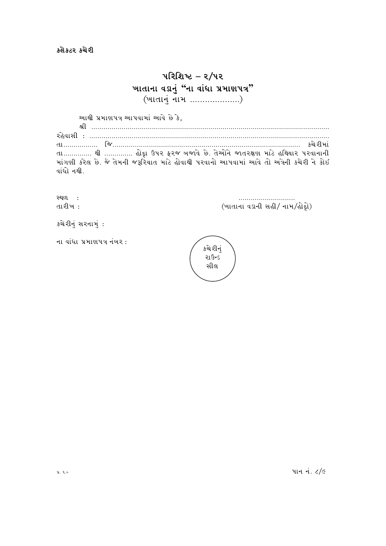## પરિશિષ્ટ $-$  ર/૫૨ <u>ખાતાના વડાનું "ના વાંધા પ્રમાણપત્ર"</u> (ખાતાનું નામ ....................)

આથી પ્રમાણપત્ર આપવામાં આવે છે કે,

zL PPPPPPPPPPPPPPPPPPPPPPPPPPPPPPPPPPPPPPPPPPPPPPPPPPPPPPPPPPPPPPPPPPPPPPPPPPPPPPPPPPPPPPPPPPPPPPPPPPPPPPPPPPPPPPPPPPPPPP ZC[JF;L o PPPPPPPPPPPPPPPPPPPPPPPPPPPPPPPPPPPPPPPPPPPPPPPPPPPPPPPPPPPPPPPPPPPPPPPPPPPPPPPPPPPPPPPPPPPPPPPPPPPPPPPPPPPPPPPPPPPPPPP TFPPPPPPPPPPPPPPPPP lHPPPPPPPPPPPPPPPPPPPPPPPPPPPPPPPPPPPPPPPPPPPPPPPPPPPPPPPPPPPPPPPPPPPPPPPPPPPPPPPPPPPPPPPPPPPPP SR[ZLDF\ તા............. થી .............. હોદૃા ઉપર ફરજ બજાવે છે. તેઓને જાતરક્ષણ માટે હથિયાર પરવાનાની માંગણી *ક*રેલ છે. જે તેમની જરૂરિયાત માટે હોવાથી પરવાનો આપવામાં આવે તો અત્રેની કચેરી ને કોઈ વાંધો નથી.

:Y/ o PPPPPPPPPPPPPPPPPPPPPPPPPPPP (ખાતાના વડાની સહી/ નામ/હોદ્દો)

કચેરીનું સરનામું:

ના વાંધા પ્રમાણપત્ર નંબર $:$